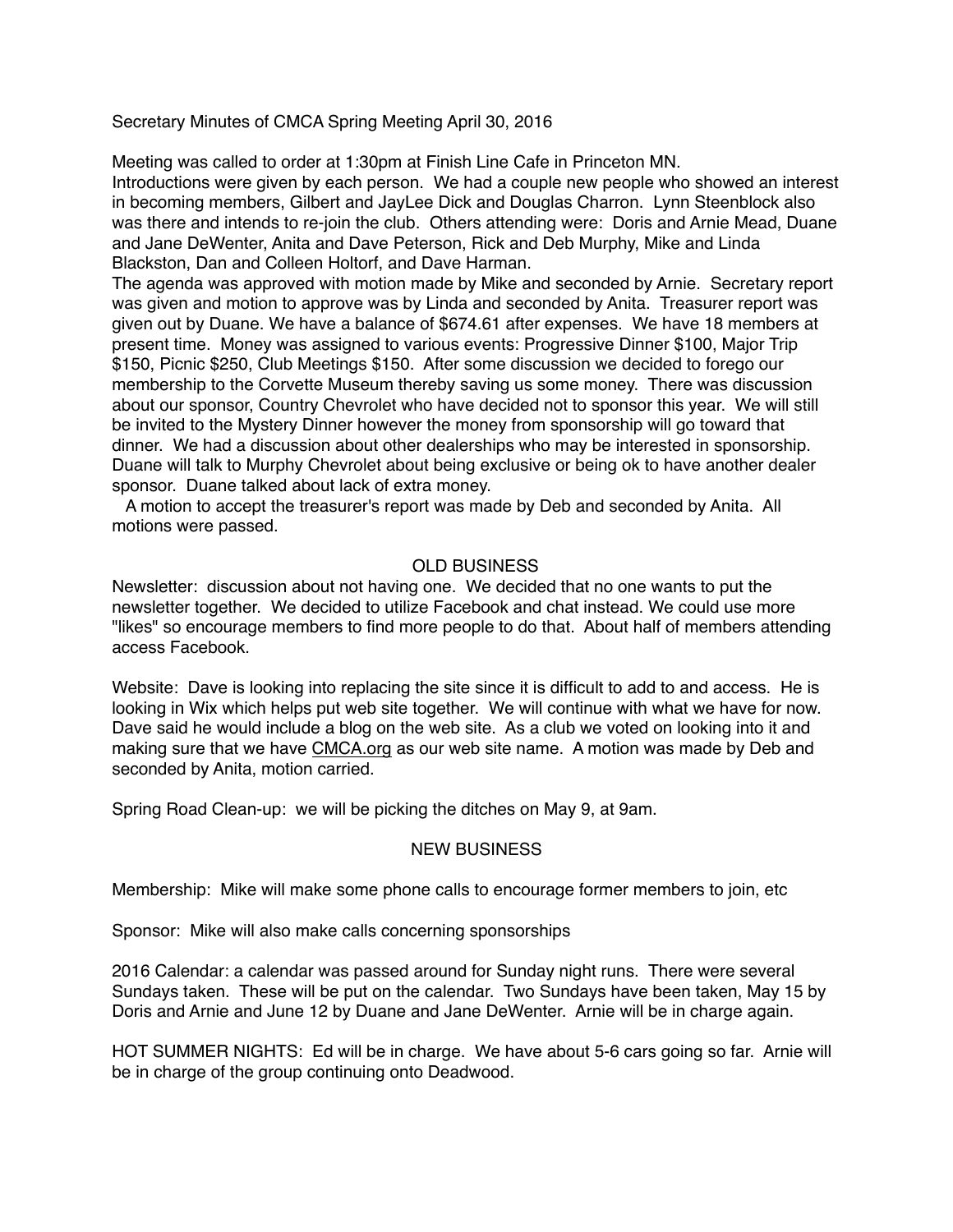Secretary Minutes of CMCA Spring Meeting April 30, 2016

Meeting was called to order at 1:30pm at Finish Line Cafe in Princeton MN. Introductions were given by each person. We had a couple new people who showed an interest in becoming members, Gilbert and JayLee Dick and Douglas Charron. Lynn Steenblock also was there and intends to re-join the club. Others attending were: Doris and Arnie Mead, Duane and Jane DeWenter, Anita and Dave Peterson, Rick and Deb Murphy, Mike and Linda Blackston, Dan and Colleen Holtorf, and Dave Harman.

The agenda was approved with motion made by Mike and seconded by Arnie. Secretary report was given and motion to approve was by Linda and seconded by Anita. Treasurer report was given out by Duane. We have a balance of \$674.61 after expenses. We have 18 members at present time. Money was assigned to various events: Progressive Dinner \$100, Major Trip \$150, Picnic \$250, Club Meetings \$150. After some discussion we decided to forego our membership to the Corvette Museum thereby saving us some money. There was discussion about our sponsor, Country Chevrolet who have decided not to sponsor this year. We will still be invited to the Mystery Dinner however the money from sponsorship will go toward that dinner. We had a discussion about other dealerships who may be interested in sponsorship. Duane will talk to Murphy Chevrolet about being exclusive or being ok to have another dealer sponsor. Duane talked about lack of extra money.

 A motion to accept the treasurer's report was made by Deb and seconded by Anita. All motions were passed.

## OLD BUSINESS

Newsletter: discussion about not having one. We decided that no one wants to put the newsletter together. We decided to utilize Facebook and chat instead. We could use more "likes" so encourage members to find more people to do that. About half of members attending access Facebook.

Website: Dave is looking into replacing the site since it is difficult to add to and access. He is looking in Wix which helps put web site together. We will continue with what we have for now. Dave said he would include a blog on the web site. As a club we voted on looking into it and making sure that we have [CMCA.org](http://cmca.org) as our web site name. A motion was made by Deb and seconded by Anita, motion carried.

Spring Road Clean-up: we will be picking the ditches on May 9, at 9am.

## NEW BUSINESS

Membership: Mike will make some phone calls to encourage former members to join, etc

Sponsor: Mike will also make calls concerning sponsorships

2016 Calendar: a calendar was passed around for Sunday night runs. There were several Sundays taken. These will be put on the calendar. Two Sundays have been taken, May 15 by Doris and Arnie and June 12 by Duane and Jane DeWenter. Arnie will be in charge again.

HOT SUMMER NIGHTS: Ed will be in charge. We have about 5-6 cars going so far. Arnie will be in charge of the group continuing onto Deadwood.